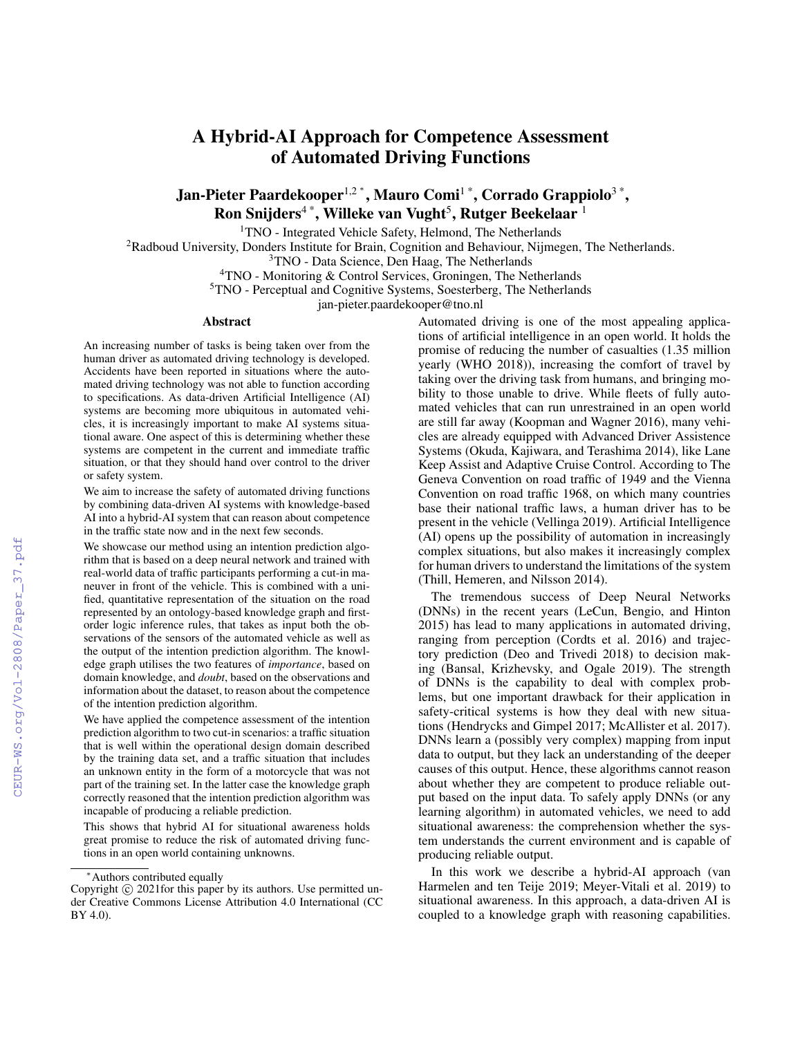# A Hybrid-AI Approach for Competence Assessment of Automated Driving Functions

Jan-Pieter Paardekooper $^{1,2}$ \*, Mauro Comi $^{1}$ \*, Corrado Grappiolo $^{3}$ \*, Ron Snijders $^{4\,*}$ , Willeke van Vught $^5$ , Rutger Beekelaar  $^1$ 

<sup>1</sup>TNO - Integrated Vehicle Safety, Helmond, The Netherlands

<sup>2</sup>Radboud University, Donders Institute for Brain, Cognition and Behaviour, Nijmegen, The Netherlands.

<sup>3</sup>TNO - Data Science, Den Haag, The Netherlands

<sup>4</sup>TNO - Monitoring & Control Services, Groningen, The Netherlands

<sup>5</sup>TNO - Perceptual and Cognitive Systems, Soesterberg, The Netherlands

jan-pieter.paardekooper@tno.nl

#### Abstract

An increasing number of tasks is being taken over from the human driver as automated driving technology is developed. Accidents have been reported in situations where the automated driving technology was not able to function according to specifications. As data-driven Artificial Intelligence (AI) systems are becoming more ubiquitous in automated vehicles, it is increasingly important to make AI systems situational aware. One aspect of this is determining whether these systems are competent in the current and immediate traffic situation, or that they should hand over control to the driver or safety system.

We aim to increase the safety of automated driving functions by combining data-driven AI systems with knowledge-based AI into a hybrid-AI system that can reason about competence in the traffic state now and in the next few seconds.

We showcase our method using an intention prediction algorithm that is based on a deep neural network and trained with real-world data of traffic participants performing a cut-in maneuver in front of the vehicle. This is combined with a unified, quantitative representation of the situation on the road represented by an ontology-based knowledge graph and firstorder logic inference rules, that takes as input both the observations of the sensors of the automated vehicle as well as the output of the intention prediction algorithm. The knowledge graph utilises the two features of *importance*, based on domain knowledge, and *doubt*, based on the observations and information about the dataset, to reason about the competence of the intention prediction algorithm.

We have applied the competence assessment of the intention prediction algorithm to two cut-in scenarios: a traffic situation that is well within the operational design domain described by the training data set, and a traffic situation that includes an unknown entity in the form of a motorcycle that was not part of the training set. In the latter case the knowledge graph correctly reasoned that the intention prediction algorithm was incapable of producing a reliable prediction.

This shows that hybrid AI for situational awareness holds great promise to reduce the risk of automated driving functions in an open world containing unknowns.

Automated driving is one of the most appealing applications of artificial intelligence in an open world. It holds the promise of reducing the number of casualties (1.35 million yearly (WHO 2018)), increasing the comfort of travel by taking over the driving task from humans, and bringing mobility to those unable to drive. While fleets of fully automated vehicles that can run unrestrained in an open world are still far away (Koopman and Wagner 2016), many vehicles are already equipped with Advanced Driver Assistence Systems (Okuda, Kajiwara, and Terashima 2014), like Lane Keep Assist and Adaptive Cruise Control. According to The Geneva Convention on road traffic of 1949 and the Vienna Convention on road traffic 1968, on which many countries base their national traffic laws, a human driver has to be present in the vehicle (Vellinga 2019). Artificial Intelligence (AI) opens up the possibility of automation in increasingly complex situations, but also makes it increasingly complex for human drivers to understand the limitations of the system (Thill, Hemeren, and Nilsson 2014).

The tremendous success of Deep Neural Networks (DNNs) in the recent years (LeCun, Bengio, and Hinton 2015) has lead to many applications in automated driving, ranging from perception (Cordts et al. 2016) and trajectory prediction (Deo and Trivedi 2018) to decision making (Bansal, Krizhevsky, and Ogale 2019). The strength of DNNs is the capability to deal with complex problems, but one important drawback for their application in safety-critical systems is how they deal with new situations (Hendrycks and Gimpel 2017; McAllister et al. 2017). DNNs learn a (possibly very complex) mapping from input data to output, but they lack an understanding of the deeper causes of this output. Hence, these algorithms cannot reason about whether they are competent to produce reliable output based on the input data. To safely apply DNNs (or any learning algorithm) in automated vehicles, we need to add situational awareness: the comprehension whether the system understands the current environment and is capable of producing reliable output.

In this work we describe a hybrid-AI approach (van Harmelen and ten Teije 2019; Meyer-Vitali et al. 2019) to situational awareness. In this approach, a data-driven AI is coupled to a knowledge graph with reasoning capabilities.

<sup>∗</sup>Authors contributed equally

Copyright  $\odot$  2021for this paper by its authors. Use permitted under Creative Commons License Attribution 4.0 International (CC BY 4.0).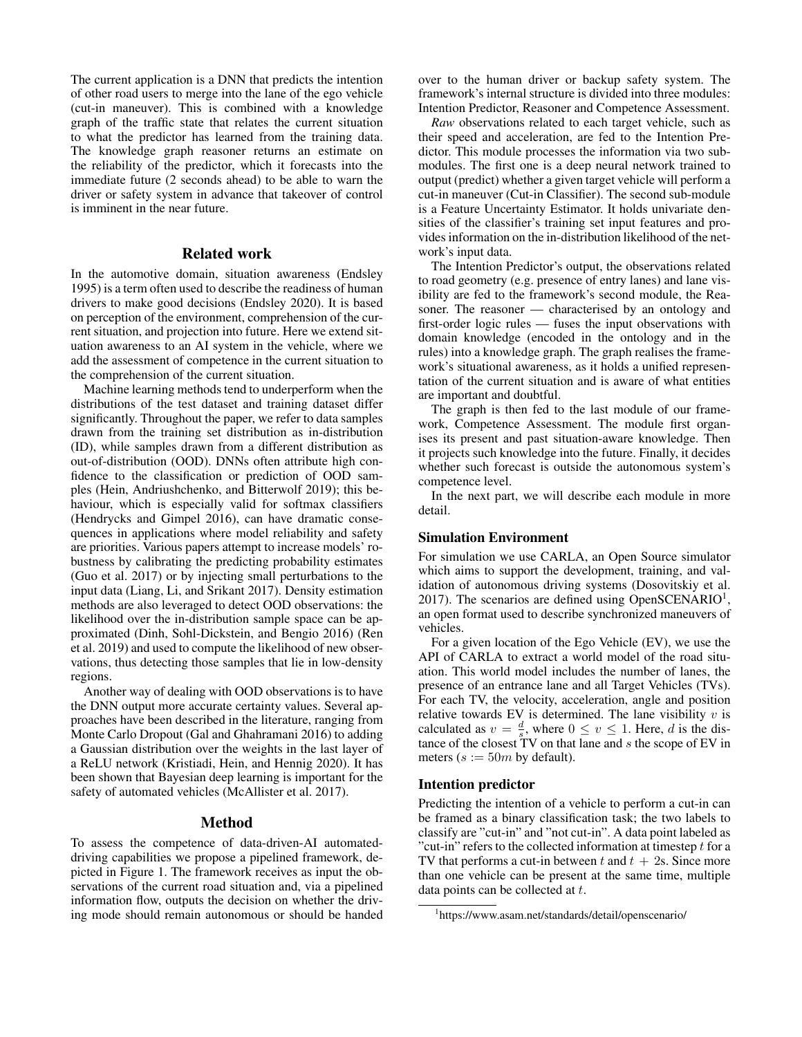The current application is a DNN that predicts the intention of other road users to merge into the lane of the ego vehicle (cut-in maneuver). This is combined with a knowledge graph of the traffic state that relates the current situation to what the predictor has learned from the training data. The knowledge graph reasoner returns an estimate on the reliability of the predictor, which it forecasts into the immediate future (2 seconds ahead) to be able to warn the driver or safety system in advance that takeover of control is imminent in the near future.

### Related work

In the automotive domain, situation awareness (Endsley 1995) is a term often used to describe the readiness of human drivers to make good decisions (Endsley 2020). It is based on perception of the environment, comprehension of the current situation, and projection into future. Here we extend situation awareness to an AI system in the vehicle, where we add the assessment of competence in the current situation to the comprehension of the current situation.

Machine learning methods tend to underperform when the distributions of the test dataset and training dataset differ significantly. Throughout the paper, we refer to data samples drawn from the training set distribution as in-distribution (ID), while samples drawn from a different distribution as out-of-distribution (OOD). DNNs often attribute high confidence to the classification or prediction of OOD samples (Hein, Andriushchenko, and Bitterwolf 2019); this behaviour, which is especially valid for softmax classifiers (Hendrycks and Gimpel 2016), can have dramatic consequences in applications where model reliability and safety are priorities. Various papers attempt to increase models' robustness by calibrating the predicting probability estimates (Guo et al. 2017) or by injecting small perturbations to the input data (Liang, Li, and Srikant 2017). Density estimation methods are also leveraged to detect OOD observations: the likelihood over the in-distribution sample space can be approximated (Dinh, Sohl-Dickstein, and Bengio 2016) (Ren et al. 2019) and used to compute the likelihood of new observations, thus detecting those samples that lie in low-density regions.

Another way of dealing with OOD observations is to have the DNN output more accurate certainty values. Several approaches have been described in the literature, ranging from Monte Carlo Dropout (Gal and Ghahramani 2016) to adding a Gaussian distribution over the weights in the last layer of a ReLU network (Kristiadi, Hein, and Hennig 2020). It has been shown that Bayesian deep learning is important for the safety of automated vehicles (McAllister et al. 2017).

#### Method

To assess the competence of data-driven-AI automateddriving capabilities we propose a pipelined framework, depicted in Figure 1. The framework receives as input the observations of the current road situation and, via a pipelined information flow, outputs the decision on whether the driving mode should remain autonomous or should be handed

over to the human driver or backup safety system. The framework's internal structure is divided into three modules: Intention Predictor, Reasoner and Competence Assessment.

*Raw* observations related to each target vehicle, such as their speed and acceleration, are fed to the Intention Predictor. This module processes the information via two submodules. The first one is a deep neural network trained to output (predict) whether a given target vehicle will perform a cut-in maneuver (Cut-in Classifier). The second sub-module is a Feature Uncertainty Estimator. It holds univariate densities of the classifier's training set input features and provides information on the in-distribution likelihood of the network's input data.

The Intention Predictor's output, the observations related to road geometry (e.g. presence of entry lanes) and lane visibility are fed to the framework's second module, the Reasoner. The reasoner — characterised by an ontology and first-order logic rules — fuses the input observations with domain knowledge (encoded in the ontology and in the rules) into a knowledge graph. The graph realises the framework's situational awareness, as it holds a unified representation of the current situation and is aware of what entities are important and doubtful.

The graph is then fed to the last module of our framework, Competence Assessment. The module first organises its present and past situation-aware knowledge. Then it projects such knowledge into the future. Finally, it decides whether such forecast is outside the autonomous system's competence level.

In the next part, we will describe each module in more detail.

#### Simulation Environment

For simulation we use CARLA, an Open Source simulator which aims to support the development, training, and validation of autonomous driving systems (Dosovitskiy et al. 2017). The scenarios are defined using OpenSCENARIO<sup>1</sup>, an open format used to describe synchronized maneuvers of vehicles.

For a given location of the Ego Vehicle (EV), we use the API of CARLA to extract a world model of the road situation. This world model includes the number of lanes, the presence of an entrance lane and all Target Vehicles (TVs). For each TV, the velocity, acceleration, angle and position relative towards EV is determined. The lane visibility  $v$  is calculated as  $v = \frac{d}{s}$ , where  $0 \le v \le 1$ . Here, d is the distance of the closest TV on that lane and s the scope of EV in meters ( $s := 50m$  by default).

#### Intention predictor

Predicting the intention of a vehicle to perform a cut-in can be framed as a binary classification task; the two labels to classify are "cut-in" and "not cut-in". A data point labeled as "cut-in" refers to the collected information at timestep  $t$  for a TV that performs a cut-in between t and  $t + 2s$ . Since more than one vehicle can be present at the same time, multiple data points can be collected at  $t$ .

<sup>1</sup> https://www.asam.net/standards/detail/openscenario/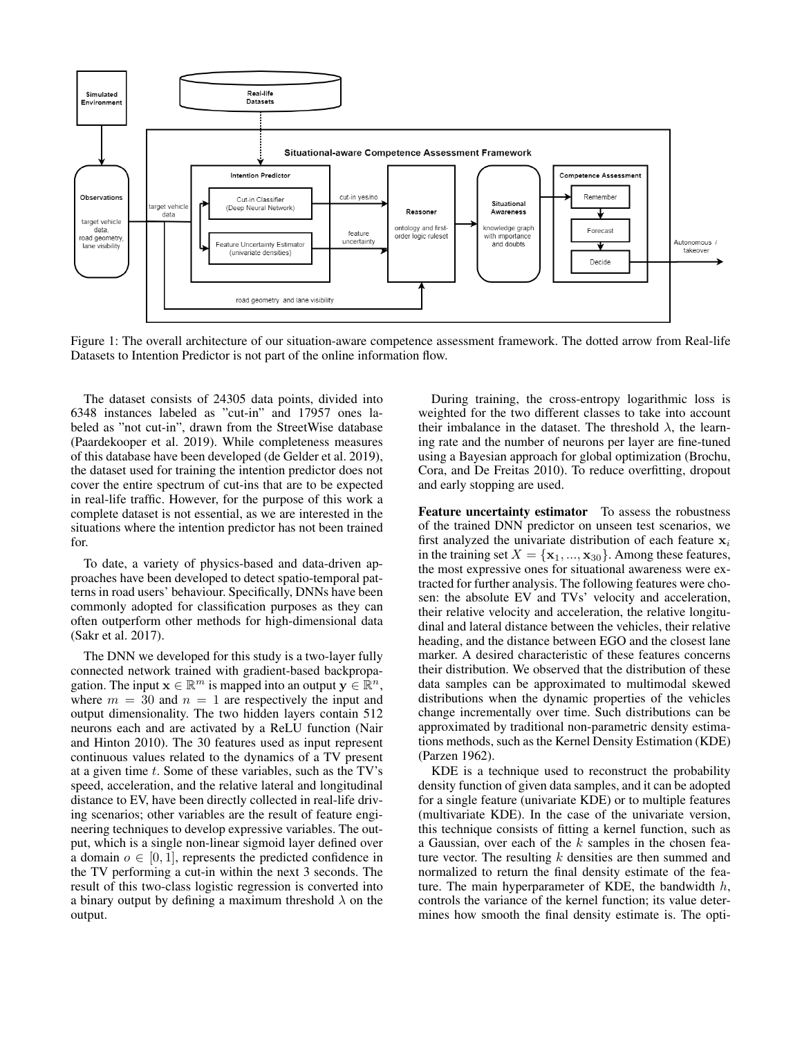

Figure 1: The overall architecture of our situation-aware competence assessment framework. The dotted arrow from Real-life Datasets to Intention Predictor is not part of the online information flow.

The dataset consists of 24305 data points, divided into 6348 instances labeled as "cut-in" and 17957 ones labeled as "not cut-in", drawn from the StreetWise database (Paardekooper et al. 2019). While completeness measures of this database have been developed (de Gelder et al. 2019), the dataset used for training the intention predictor does not cover the entire spectrum of cut-ins that are to be expected in real-life traffic. However, for the purpose of this work a complete dataset is not essential, as we are interested in the situations where the intention predictor has not been trained for.

To date, a variety of physics-based and data-driven approaches have been developed to detect spatio-temporal patterns in road users' behaviour. Specifically, DNNs have been commonly adopted for classification purposes as they can often outperform other methods for high-dimensional data (Sakr et al. 2017).

The DNN we developed for this study is a two-layer fully connected network trained with gradient-based backpropagation. The input  $\mathbf{x} \in \mathbb{R}^m$  is mapped into an output  $\mathbf{y} \in \mathbb{R}^n$ , where  $m = 30$  and  $n = 1$  are respectively the input and output dimensionality. The two hidden layers contain 512 neurons each and are activated by a ReLU function (Nair and Hinton 2010). The 30 features used as input represent continuous values related to the dynamics of a TV present at a given time  $t$ . Some of these variables, such as the TV's speed, acceleration, and the relative lateral and longitudinal distance to EV, have been directly collected in real-life driving scenarios; other variables are the result of feature engineering techniques to develop expressive variables. The output, which is a single non-linear sigmoid layer defined over a domain  $o \in [0, 1]$ , represents the predicted confidence in the TV performing a cut-in within the next 3 seconds. The result of this two-class logistic regression is converted into a binary output by defining a maximum threshold  $\lambda$  on the output.

During training, the cross-entropy logarithmic loss is weighted for the two different classes to take into account their imbalance in the dataset. The threshold  $\lambda$ , the learning rate and the number of neurons per layer are fine-tuned using a Bayesian approach for global optimization (Brochu, Cora, and De Freitas 2010). To reduce overfitting, dropout and early stopping are used.

Feature uncertainty estimator To assess the robustness of the trained DNN predictor on unseen test scenarios, we first analyzed the univariate distribution of each feature  $x_i$ in the training set  $X = {\mathbf{x}_1, ..., \mathbf{x}_{30}}$ . Among these features, the most expressive ones for situational awareness were extracted for further analysis. The following features were chosen: the absolute EV and TVs' velocity and acceleration, their relative velocity and acceleration, the relative longitudinal and lateral distance between the vehicles, their relative heading, and the distance between EGO and the closest lane marker. A desired characteristic of these features concerns their distribution. We observed that the distribution of these data samples can be approximated to multimodal skewed distributions when the dynamic properties of the vehicles change incrementally over time. Such distributions can be approximated by traditional non-parametric density estimations methods, such as the Kernel Density Estimation (KDE) (Parzen 1962).

KDE is a technique used to reconstruct the probability density function of given data samples, and it can be adopted for a single feature (univariate KDE) or to multiple features (multivariate KDE). In the case of the univariate version, this technique consists of fitting a kernel function, such as a Gaussian, over each of the  $k$  samples in the chosen feature vector. The resulting  $k$  densities are then summed and normalized to return the final density estimate of the feature. The main hyperparameter of KDE, the bandwidth  $h$ , controls the variance of the kernel function; its value determines how smooth the final density estimate is. The opti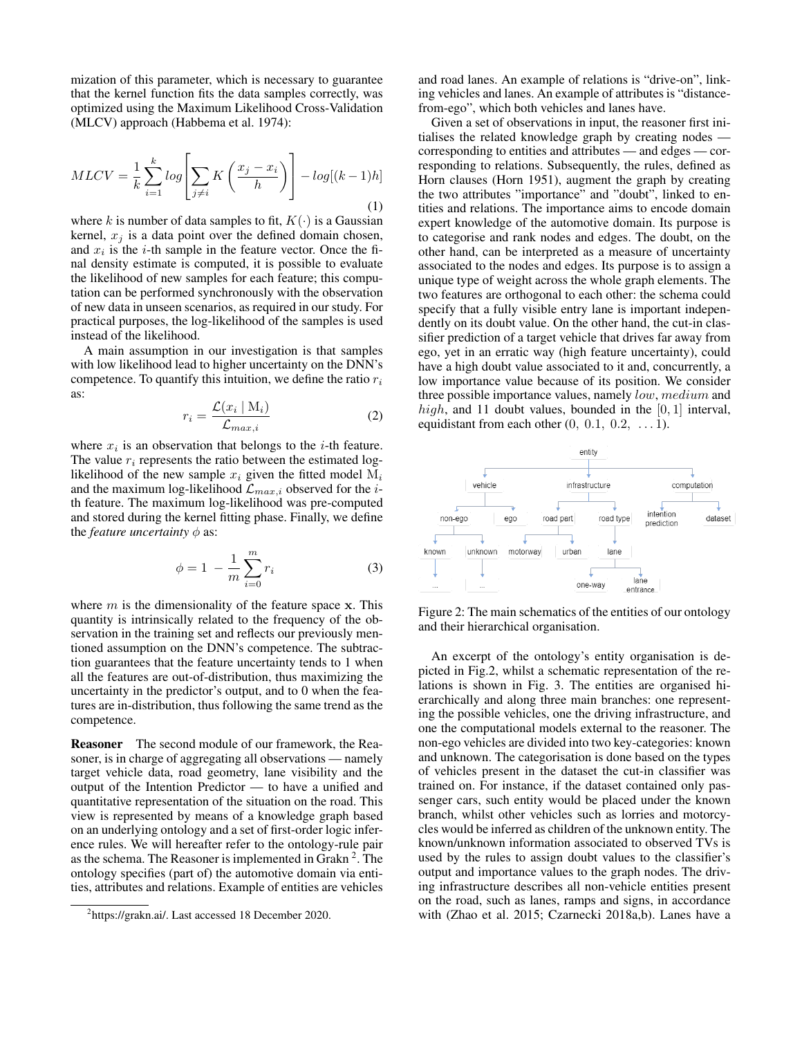mization of this parameter, which is necessary to guarantee that the kernel function fits the data samples correctly, was optimized using the Maximum Likelihood Cross-Validation (MLCV) approach (Habbema et al. 1974):

$$
MLCV = \frac{1}{k} \sum_{i=1}^{k} \log \left[ \sum_{j \neq i} K\left(\frac{x_j - x_i}{h}\right) \right] - \log[(k-1)h] \tag{1}
$$

where k is number of data samples to fit,  $K(\cdot)$  is a Gaussian kernel,  $x_i$  is a data point over the defined domain chosen, and  $x_i$  is the *i*-th sample in the feature vector. Once the final density estimate is computed, it is possible to evaluate the likelihood of new samples for each feature; this computation can be performed synchronously with the observation of new data in unseen scenarios, as required in our study. For practical purposes, the log-likelihood of the samples is used instead of the likelihood.

A main assumption in our investigation is that samples with low likelihood lead to higher uncertainty on the DNN's competence. To quantify this intuition, we define the ratio  $r_i$ as:

$$
r_i = \frac{\mathcal{L}(x_i \mid \mathbf{M}_i)}{\mathcal{L}_{max,i}} \tag{2}
$$

where  $x_i$  is an observation that belongs to the *i*-th feature. The value  $r_i$  represents the ratio between the estimated loglikelihood of the new sample  $x_i$  given the fitted model  $M_i$ and the maximum log-likelihood  $\mathcal{L}_{max,i}$  observed for the *i*th feature. The maximum log-likelihood was pre-computed and stored during the kernel fitting phase. Finally, we define the *feature uncertainty*  $\phi$  as:

$$
\phi = 1 - \frac{1}{m} \sum_{i=0}^{m} r_i
$$
 (3)

where  $m$  is the dimensionality of the feature space  $x$ . This quantity is intrinsically related to the frequency of the observation in the training set and reflects our previously mentioned assumption on the DNN's competence. The subtraction guarantees that the feature uncertainty tends to 1 when all the features are out-of-distribution, thus maximizing the uncertainty in the predictor's output, and to 0 when the features are in-distribution, thus following the same trend as the competence.

Reasoner The second module of our framework, the Reasoner, is in charge of aggregating all observations — namely target vehicle data, road geometry, lane visibility and the output of the Intention Predictor — to have a unified and quantitative representation of the situation on the road. This view is represented by means of a knowledge graph based on an underlying ontology and a set of first-order logic inference rules. We will hereafter refer to the ontology-rule pair as the schema. The Reasoner is implemented in Grakn<sup>2</sup>. The ontology specifies (part of) the automotive domain via entities, attributes and relations. Example of entities are vehicles

and road lanes. An example of relations is "drive-on", linking vehicles and lanes. An example of attributes is "distancefrom-ego", which both vehicles and lanes have.

Given a set of observations in input, the reasoner first initialises the related knowledge graph by creating nodes corresponding to entities and attributes — and edges — corresponding to relations. Subsequently, the rules, defined as Horn clauses (Horn 1951), augment the graph by creating the two attributes "importance" and "doubt", linked to entities and relations. The importance aims to encode domain expert knowledge of the automotive domain. Its purpose is to categorise and rank nodes and edges. The doubt, on the other hand, can be interpreted as a measure of uncertainty associated to the nodes and edges. Its purpose is to assign a unique type of weight across the whole graph elements. The two features are orthogonal to each other: the schema could specify that a fully visible entry lane is important independently on its doubt value. On the other hand, the cut-in classifier prediction of a target vehicle that drives far away from ego, yet in an erratic way (high feature uncertainty), could have a high doubt value associated to it and, concurrently, a low importance value because of its position. We consider three possible importance values, namely low, medium and high, and 11 doubt values, bounded in the  $[0, 1]$  interval, equidistant from each other  $(0, 0.1, 0.2, \ldots 1)$ .



Figure 2: The main schematics of the entities of our ontology and their hierarchical organisation.

An excerpt of the ontology's entity organisation is depicted in Fig.2, whilst a schematic representation of the relations is shown in Fig. 3. The entities are organised hierarchically and along three main branches: one representing the possible vehicles, one the driving infrastructure, and one the computational models external to the reasoner. The non-ego vehicles are divided into two key-categories: known and unknown. The categorisation is done based on the types of vehicles present in the dataset the cut-in classifier was trained on. For instance, if the dataset contained only passenger cars, such entity would be placed under the known branch, whilst other vehicles such as lorries and motorcycles would be inferred as children of the unknown entity. The known/unknown information associated to observed TVs is used by the rules to assign doubt values to the classifier's output and importance values to the graph nodes. The driving infrastructure describes all non-vehicle entities present on the road, such as lanes, ramps and signs, in accordance with (Zhao et al. 2015; Czarnecki 2018a,b). Lanes have a

<sup>&</sup>lt;sup>2</sup>https://grakn.ai/. Last accessed 18 December 2020.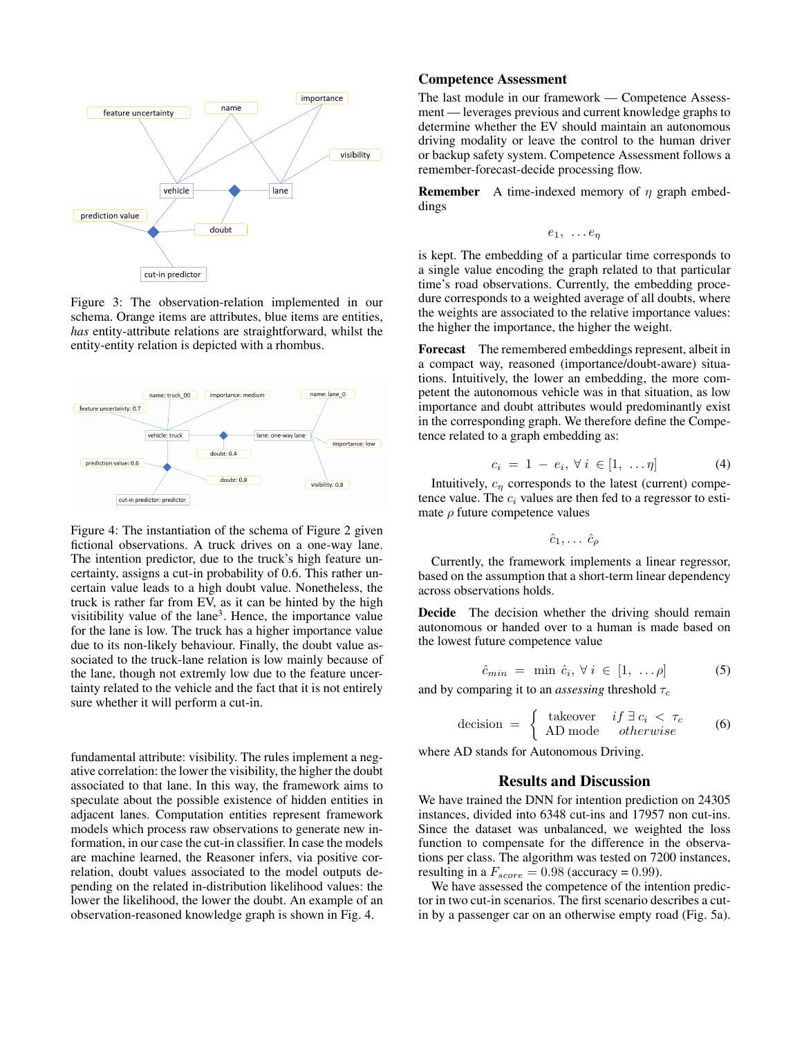

Figure 3: The observation-relation implemented in our schema. Orange items are attributes, blue items are entities, *has* entity-attribute relations are straightforward, whilst the entity-entity relation is depicted with a rhombus.



Figure 4: The instantiation of the schema of Figure 2 given fictional observations. A truck drives on a one-way lane. The intention predictor, due to the truck's high feature uncertainty, assigns a cut-in probability of 0.6. This rather uncertain value leads to a high doubt value. Nonetheless, the truck is rather far from EV, as it can be hinted by the high visitibility value of the lane<sup>3</sup>. Hence, the importance value for the lane is low. The truck has a higher importance value due to its non-likely behaviour. Finally, the doubt value associated to the truck-lane relation is low mainly because of the lane, though not extremly low due to the feature uncertainty related to the vehicle and the fact that it is not entirely sure whether it will perform a cut-in.

fundamental attribute: visibility. The rules implement a negative correlation: the lower the visibility, the higher the doubt associated to that lane. In this way, the framework aims to speculate about the possible existence of hidden entities in adjacent lanes. Computation entities represent framework models which process raw observations to generate new information, in our case the cut-in classifier. In case the models are machine learned, the Reasoner infers, via positive correlation, doubt values associated to the model outputs depending on the related in-distribution likelihood values: the lower the likelihood, the lower the doubt. An example of an observation-reasoned knowledge graph is shown in Fig. 4.

#### Competence Assessment

The last module in our framework — Competence Assessment — leverages previous and current knowledge graphs to determine whether the EV should maintain an autonomous driving modality or leave the control to the human driver or backup safety system. Competence Assessment follows a remember-forecast-decide processing flow.

**Remember** A time-indexed memory of  $\eta$  graph embeddings

 $e_1, \ldots e_n$ 

is kept. The embedding of a particular time corresponds to a single value encoding the graph related to that particular time's road observations. Currently, the embedding procedure corresponds to a weighted average of all doubts, where the weights are associated to the relative importance values: the higher the importance, the higher the weight.

Forecast The remembered embeddings represent, albeit in a compact way, reasoned (importance/doubt-aware) situations. Intuitively, the lower an embedding, the more competent the autonomous vehicle was in that situation, as low importance and doubt attributes would predominantly exist in the corresponding graph. We therefore define the Competence related to a graph embedding as:

$$
c_i = 1 - e_i, \forall i \in [1, ..., \eta]
$$
 (4)

Intuitively,  $c_n$  corresponds to the latest (current) competence value. The  $c_i$  values are then fed to a regressor to estimate  $\rho$  future competence values

 $\hat{c}_1, \ldots \hat{c}_\rho$ 

Currently, the framework implements a linear regressor, based on the assumption that a short-term linear dependency across observations holds.

Decide The decision whether the driving should remain autonomous or handed over to a human is made based on the lowest future competence value

$$
\hat{c}_{min} = \min \hat{c}_i, \forall i \in [1, \dots \rho]
$$
 (5)

and by comparing it to an *assessing* threshold  $\tau_c$ 

decision = 
$$
\begin{cases} \text{takeover} & \text{if } \exists c_i < \tau_c \\ \text{AD mode} & \text{otherwise} \end{cases}
$$
 (6)

where AD stands for Autonomous Driving.

#### Results and Discussion

We have trained the DNN for intention prediction on 24305 instances, divided into 6348 cut-ins and 17957 non cut-ins. Since the dataset was unbalanced, we weighted the loss function to compensate for the difference in the observations per class. The algorithm was tested on 7200 instances, resulting in a  $F_{score} = 0.98$  (accuracy = 0.99).

We have assessed the competence of the intention predictor in two cut-in scenarios. The first scenario describes a cutin by a passenger car on an otherwise empty road (Fig. 5a).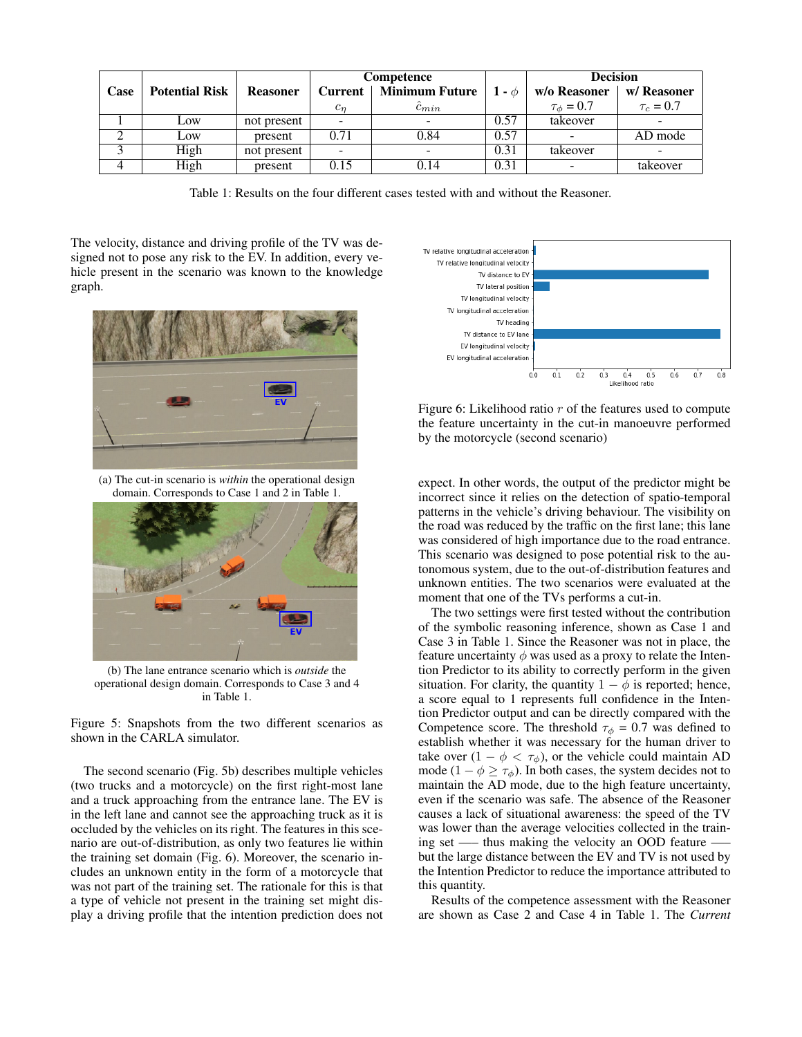|      |                       |                 | Competence     |                          |            | <b>Decision</b>          |                          |
|------|-----------------------|-----------------|----------------|--------------------------|------------|--------------------------|--------------------------|
| Case | <b>Potential Risk</b> | <b>Reasoner</b> | <b>Current</b> | <b>Minimum Future</b>    | $1 - \phi$ | w/o Reasoner             | w/ Reasoner              |
|      |                       |                 | $c_n$          | $c_{min}$                |            | $\tau_{\phi} = 0.7$      | $\tau_c = 0.7$           |
|      | Low                   | not present     |                |                          | 0.57       | takeover                 | -                        |
|      | Low                   | present         | 0.71           | 0.84                     | 0.57       | $\overline{\phantom{a}}$ | AD mode                  |
|      | High                  | not present     |                | $\overline{\phantom{a}}$ | 0.31       | takeover                 | $\overline{\phantom{0}}$ |
|      | High                  | present         | 0.15           | 0.14                     | 0.31       | $\overline{\phantom{a}}$ | takeover                 |

Table 1: Results on the four different cases tested with and without the Reasoner.

The velocity, distance and driving profile of the TV was designed not to pose any risk to the EV. In addition, every vehicle present in the scenario was known to the knowledge graph.



(a) The cut-in scenario is *within* the operational design domain. Corresponds to Case 1 and 2 in Table 1.



(b) The lane entrance scenario which is *outside* the operational design domain. Corresponds to Case 3 and 4 in Table 1.

Figure 5: Snapshots from the two different scenarios as shown in the CARLA simulator.

The second scenario (Fig. 5b) describes multiple vehicles (two trucks and a motorcycle) on the first right-most lane and a truck approaching from the entrance lane. The EV is in the left lane and cannot see the approaching truck as it is occluded by the vehicles on its right. The features in this scenario are out-of-distribution, as only two features lie within the training set domain (Fig. 6). Moreover, the scenario includes an unknown entity in the form of a motorcycle that was not part of the training set. The rationale for this is that a type of vehicle not present in the training set might display a driving profile that the intention prediction does not



Figure 6: Likelihood ratio  $r$  of the features used to compute the feature uncertainty in the cut-in manoeuvre performed by the motorcycle (second scenario)

expect. In other words, the output of the predictor might be incorrect since it relies on the detection of spatio-temporal patterns in the vehicle's driving behaviour. The visibility on the road was reduced by the traffic on the first lane; this lane was considered of high importance due to the road entrance. This scenario was designed to pose potential risk to the autonomous system, due to the out-of-distribution features and unknown entities. The two scenarios were evaluated at the moment that one of the TVs performs a cut-in.

The two settings were first tested without the contribution of the symbolic reasoning inference, shown as Case 1 and Case 3 in Table 1. Since the Reasoner was not in place, the feature uncertainty  $\phi$  was used as a proxy to relate the Intention Predictor to its ability to correctly perform in the given situation. For clarity, the quantity  $1 - \phi$  is reported; hence, a score equal to 1 represents full confidence in the Intention Predictor output and can be directly compared with the Competence score. The threshold  $\tau_{\phi} = 0.7$  was defined to establish whether it was necessary for the human driver to take over  $(1 - \phi < \tau_{\phi})$ , or the vehicle could maintain AD mode (1 –  $\phi \ge \tau_{\phi}$ ). In both cases, the system decides not to maintain the AD mode, due to the high feature uncertainty, even if the scenario was safe. The absence of the Reasoner causes a lack of situational awareness: the speed of the TV was lower than the average velocities collected in the training set —– thus making the velocity an OOD feature —– but the large distance between the EV and TV is not used by the Intention Predictor to reduce the importance attributed to this quantity.

Results of the competence assessment with the Reasoner are shown as Case 2 and Case 4 in Table 1. The *Current*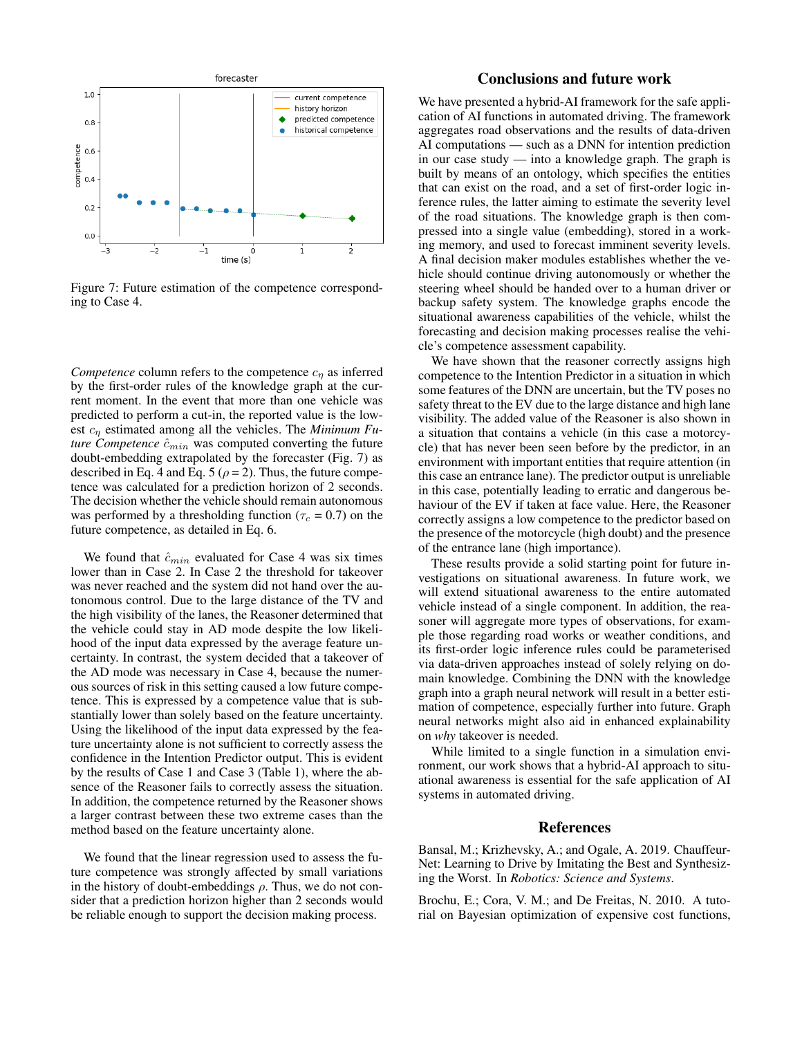

Figure 7: Future estimation of the competence corresponding to Case 4.

*Competence* column refers to the competence  $c_n$  as inferred by the first-order rules of the knowledge graph at the current moment. In the event that more than one vehicle was predicted to perform a cut-in, the reported value is the lowest c<sup>η</sup> estimated among all the vehicles. The *Minimum Future Competence*  $\hat{c}_{min}$  was computed converting the future doubt-embedding extrapolated by the forecaster (Fig. 7) as described in Eq. 4 and Eq. 5 ( $\rho$  = 2). Thus, the future competence was calculated for a prediction horizon of 2 seconds. The decision whether the vehicle should remain autonomous was performed by a thresholding function ( $\tau_c = 0.7$ ) on the future competence, as detailed in Eq. 6.

We found that  $\hat{c}_{min}$  evaluated for Case 4 was six times lower than in Case 2. In Case 2 the threshold for takeover was never reached and the system did not hand over the autonomous control. Due to the large distance of the TV and the high visibility of the lanes, the Reasoner determined that the vehicle could stay in AD mode despite the low likelihood of the input data expressed by the average feature uncertainty. In contrast, the system decided that a takeover of the AD mode was necessary in Case 4, because the numerous sources of risk in this setting caused a low future competence. This is expressed by a competence value that is substantially lower than solely based on the feature uncertainty. Using the likelihood of the input data expressed by the feature uncertainty alone is not sufficient to correctly assess the confidence in the Intention Predictor output. This is evident by the results of Case 1 and Case 3 (Table 1), where the absence of the Reasoner fails to correctly assess the situation. In addition, the competence returned by the Reasoner shows a larger contrast between these two extreme cases than the method based on the feature uncertainty alone.

We found that the linear regression used to assess the future competence was strongly affected by small variations in the history of doubt-embeddings  $\rho$ . Thus, we do not consider that a prediction horizon higher than 2 seconds would be reliable enough to support the decision making process.

## Conclusions and future work

We have presented a hybrid-AI framework for the safe application of AI functions in automated driving. The framework aggregates road observations and the results of data-driven AI computations — such as a DNN for intention prediction in our case study — into a knowledge graph. The graph is built by means of an ontology, which specifies the entities that can exist on the road, and a set of first-order logic inference rules, the latter aiming to estimate the severity level of the road situations. The knowledge graph is then compressed into a single value (embedding), stored in a working memory, and used to forecast imminent severity levels. A final decision maker modules establishes whether the vehicle should continue driving autonomously or whether the steering wheel should be handed over to a human driver or backup safety system. The knowledge graphs encode the situational awareness capabilities of the vehicle, whilst the forecasting and decision making processes realise the vehicle's competence assessment capability.

We have shown that the reasoner correctly assigns high competence to the Intention Predictor in a situation in which some features of the DNN are uncertain, but the TV poses no safety threat to the EV due to the large distance and high lane visibility. The added value of the Reasoner is also shown in a situation that contains a vehicle (in this case a motorcycle) that has never been seen before by the predictor, in an environment with important entities that require attention (in this case an entrance lane). The predictor output is unreliable in this case, potentially leading to erratic and dangerous behaviour of the EV if taken at face value. Here, the Reasoner correctly assigns a low competence to the predictor based on the presence of the motorcycle (high doubt) and the presence of the entrance lane (high importance).

These results provide a solid starting point for future investigations on situational awareness. In future work, we will extend situational awareness to the entire automated vehicle instead of a single component. In addition, the reasoner will aggregate more types of observations, for example those regarding road works or weather conditions, and its first-order logic inference rules could be parameterised via data-driven approaches instead of solely relying on domain knowledge. Combining the DNN with the knowledge graph into a graph neural network will result in a better estimation of competence, especially further into future. Graph neural networks might also aid in enhanced explainability on *why* takeover is needed.

While limited to a single function in a simulation environment, our work shows that a hybrid-AI approach to situational awareness is essential for the safe application of AI systems in automated driving.

#### References

Bansal, M.; Krizhevsky, A.; and Ogale, A. 2019. Chauffeur-Net: Learning to Drive by Imitating the Best and Synthesizing the Worst. In *Robotics: Science and Systems*.

Brochu, E.; Cora, V. M.; and De Freitas, N. 2010. A tutorial on Bayesian optimization of expensive cost functions,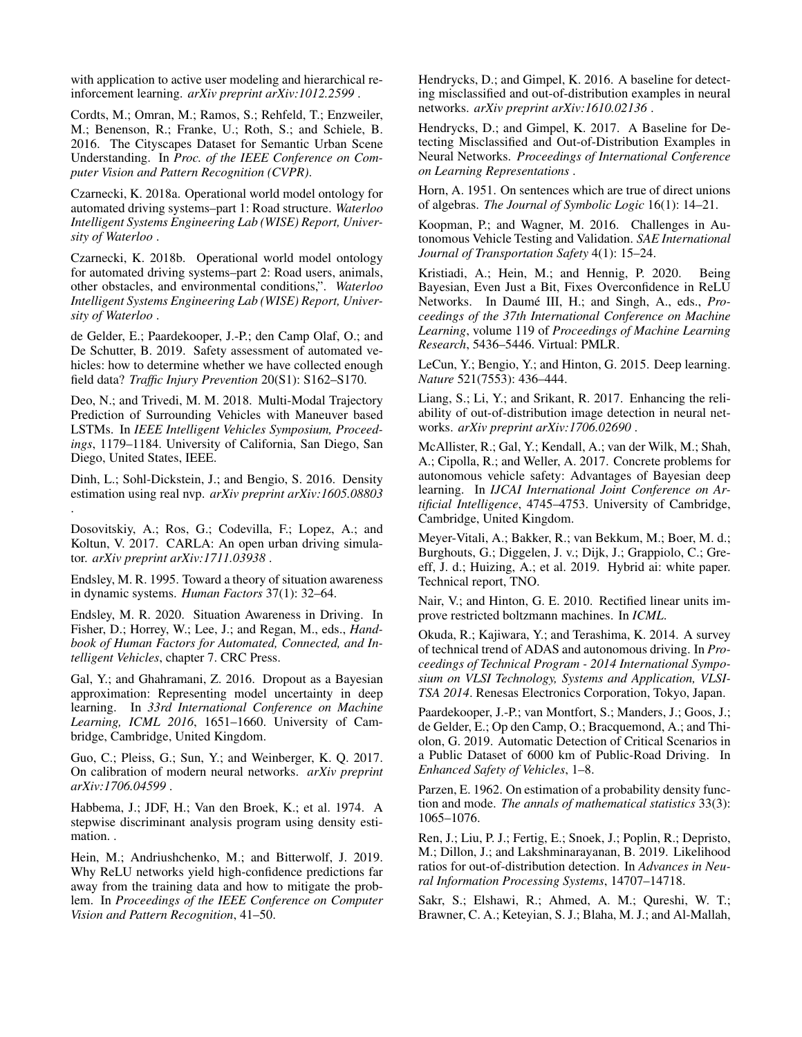with application to active user modeling and hierarchical reinforcement learning. *arXiv preprint arXiv:1012.2599* .

Cordts, M.; Omran, M.; Ramos, S.; Rehfeld, T.; Enzweiler, M.; Benenson, R.; Franke, U.; Roth, S.; and Schiele, B. 2016. The Cityscapes Dataset for Semantic Urban Scene Understanding. In *Proc. of the IEEE Conference on Computer Vision and Pattern Recognition (CVPR)*.

Czarnecki, K. 2018a. Operational world model ontology for automated driving systems–part 1: Road structure. *Waterloo Intelligent Systems Engineering Lab (WISE) Report, University of Waterloo* .

Czarnecki, K. 2018b. Operational world model ontology for automated driving systems–part 2: Road users, animals, other obstacles, and environmental conditions,". *Waterloo Intelligent Systems Engineering Lab (WISE) Report, University of Waterloo* .

de Gelder, E.; Paardekooper, J.-P.; den Camp Olaf, O.; and De Schutter, B. 2019. Safety assessment of automated vehicles: how to determine whether we have collected enough field data? *Traffic Injury Prevention* 20(S1): S162–S170.

Deo, N.; and Trivedi, M. M. 2018. Multi-Modal Trajectory Prediction of Surrounding Vehicles with Maneuver based LSTMs. In *IEEE Intelligent Vehicles Symposium, Proceedings*, 1179–1184. University of California, San Diego, San Diego, United States, IEEE.

Dinh, L.; Sohl-Dickstein, J.; and Bengio, S. 2016. Density estimation using real nvp. *arXiv preprint arXiv:1605.08803* .

Dosovitskiy, A.; Ros, G.; Codevilla, F.; Lopez, A.; and Koltun, V. 2017. CARLA: An open urban driving simulator. *arXiv preprint arXiv:1711.03938* .

Endsley, M. R. 1995. Toward a theory of situation awareness in dynamic systems. *Human Factors* 37(1): 32–64.

Endsley, M. R. 2020. Situation Awareness in Driving. In Fisher, D.; Horrey, W.; Lee, J.; and Regan, M., eds., *Handbook of Human Factors for Automated, Connected, and Intelligent Vehicles*, chapter 7. CRC Press.

Gal, Y.; and Ghahramani, Z. 2016. Dropout as a Bayesian approximation: Representing model uncertainty in deep learning. In *33rd International Conference on Machine Learning, ICML 2016*, 1651–1660. University of Cambridge, Cambridge, United Kingdom.

Guo, C.; Pleiss, G.; Sun, Y.; and Weinberger, K. Q. 2017. On calibration of modern neural networks. *arXiv preprint arXiv:1706.04599* .

Habbema, J.; JDF, H.; Van den Broek, K.; et al. 1974. A stepwise discriminant analysis program using density estimation. .

Hein, M.; Andriushchenko, M.; and Bitterwolf, J. 2019. Why ReLU networks yield high-confidence predictions far away from the training data and how to mitigate the problem. In *Proceedings of the IEEE Conference on Computer Vision and Pattern Recognition*, 41–50.

Hendrycks, D.; and Gimpel, K. 2016. A baseline for detecting misclassified and out-of-distribution examples in neural networks. *arXiv preprint arXiv:1610.02136* .

Hendrycks, D.; and Gimpel, K. 2017. A Baseline for Detecting Misclassified and Out-of-Distribution Examples in Neural Networks. *Proceedings of International Conference on Learning Representations* .

Horn, A. 1951. On sentences which are true of direct unions of algebras. *The Journal of Symbolic Logic* 16(1): 14–21.

Koopman, P.; and Wagner, M. 2016. Challenges in Autonomous Vehicle Testing and Validation. *SAE International Journal of Transportation Safety* 4(1): 15–24.

Kristiadi, A.; Hein, M.; and Hennig, P. 2020. Being Bayesian, Even Just a Bit, Fixes Overconfidence in ReLU Networks. In Daumé III, H.; and Singh, A., eds., Pro*ceedings of the 37th International Conference on Machine Learning*, volume 119 of *Proceedings of Machine Learning Research*, 5436–5446. Virtual: PMLR.

LeCun, Y.; Bengio, Y.; and Hinton, G. 2015. Deep learning. *Nature* 521(7553): 436–444.

Liang, S.; Li, Y.; and Srikant, R. 2017. Enhancing the reliability of out-of-distribution image detection in neural networks. *arXiv preprint arXiv:1706.02690* .

McAllister, R.; Gal, Y.; Kendall, A.; van der Wilk, M.; Shah, A.; Cipolla, R.; and Weller, A. 2017. Concrete problems for autonomous vehicle safety: Advantages of Bayesian deep learning. In *IJCAI International Joint Conference on Artificial Intelligence*, 4745–4753. University of Cambridge, Cambridge, United Kingdom.

Meyer-Vitali, A.; Bakker, R.; van Bekkum, M.; Boer, M. d.; Burghouts, G.; Diggelen, J. v.; Dijk, J.; Grappiolo, C.; Greeff, J. d.; Huizing, A.; et al. 2019. Hybrid ai: white paper. Technical report, TNO.

Nair, V.; and Hinton, G. E. 2010. Rectified linear units improve restricted boltzmann machines. In *ICML*.

Okuda, R.; Kajiwara, Y.; and Terashima, K. 2014. A survey of technical trend of ADAS and autonomous driving. In *Proceedings of Technical Program - 2014 International Symposium on VLSI Technology, Systems and Application, VLSI-TSA 2014*. Renesas Electronics Corporation, Tokyo, Japan.

Paardekooper, J.-P.; van Montfort, S.; Manders, J.; Goos, J.; de Gelder, E.; Op den Camp, O.; Bracquemond, A.; and Thiolon, G. 2019. Automatic Detection of Critical Scenarios in a Public Dataset of 6000 km of Public-Road Driving. In *Enhanced Safety of Vehicles*, 1–8.

Parzen, E. 1962. On estimation of a probability density function and mode. *The annals of mathematical statistics* 33(3): 1065–1076.

Ren, J.; Liu, P. J.; Fertig, E.; Snoek, J.; Poplin, R.; Depristo, M.; Dillon, J.; and Lakshminarayanan, B. 2019. Likelihood ratios for out-of-distribution detection. In *Advances in Neural Information Processing Systems*, 14707–14718.

Sakr, S.; Elshawi, R.; Ahmed, A. M.; Qureshi, W. T.; Brawner, C. A.; Keteyian, S. J.; Blaha, M. J.; and Al-Mallah,